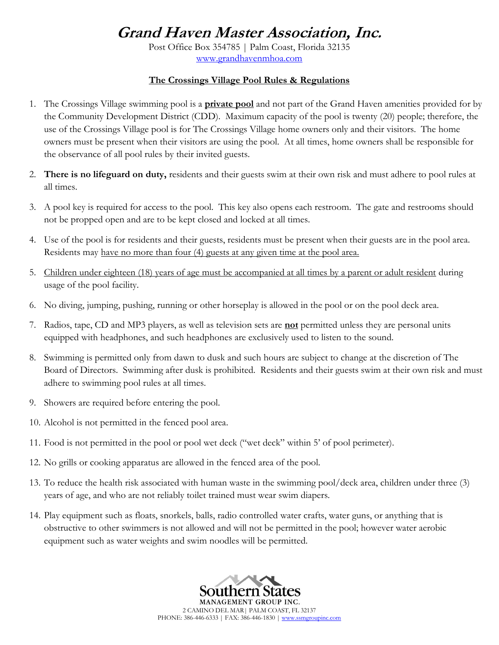## **Grand Haven Master Association, Inc.**

Post Office Box 354785 | Palm Coast, Florida 32135 www.grandhavenmhoa.com

## **The Crossings Village Pool Rules & Regulations**

- 1. The Crossings Village swimming pool is a **private pool** and not part of the Grand Haven amenities provided for by the Community Development District (CDD). Maximum capacity of the pool is twenty (20) people; therefore, the use of the Crossings Village pool is for The Crossings Village home owners only and their visitors. The home owners must be present when their visitors are using the pool. At all times, home owners shall be responsible for the observance of all pool rules by their invited guests.
- 2. **There is no lifeguard on duty,** residents and their guests swim at their own risk and must adhere to pool rules at all times.
- 3. A pool key is required for access to the pool. This key also opens each restroom. The gate and restrooms should not be propped open and are to be kept closed and locked at all times.
- 4. Use of the pool is for residents and their guests, residents must be present when their guests are in the pool area. Residents may have no more than four (4) guests at any given time at the pool area.
- 5. Children under eighteen (18) years of age must be accompanied at all times by a parent or adult resident during usage of the pool facility.
- 6. No diving, jumping, pushing, running or other horseplay is allowed in the pool or on the pool deck area.
- 7. Radios, tape, CD and MP3 players, as well as television sets are **not** permitted unless they are personal units equipped with headphones, and such headphones are exclusively used to listen to the sound.
- 8. Swimming is permitted only from dawn to dusk and such hours are subject to change at the discretion of The Board of Directors. Swimming after dusk is prohibited. Residents and their guests swim at their own risk and must adhere to swimming pool rules at all times.
- 9. Showers are required before entering the pool.
- 10. Alcohol is not permitted in the fenced pool area.
- 11. Food is not permitted in the pool or pool wet deck ("wet deck" within 5' of pool perimeter).
- 12. No grills or cooking apparatus are allowed in the fenced area of the pool.
- 13. To reduce the health risk associated with human waste in the swimming pool/deck area, children under three (3) years of age, and who are not reliably toilet trained must wear swim diapers.
- 14. Play equipment such as floats, snorkels, balls, radio controlled water crafts, water guns, or anything that is obstructive to other swimmers is not allowed and will not be permitted in the pool; however water aerobic equipment such as water weights and swim noodles will be permitted.